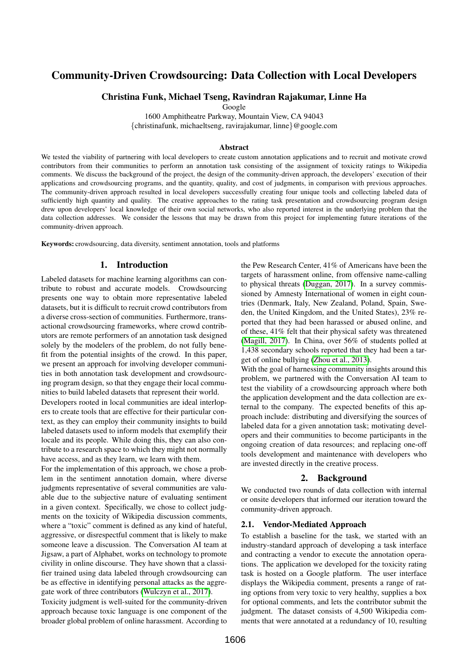# Community-Driven Crowdsourcing: Data Collection with Local Developers

# Christina Funk, Michael Tseng, Ravindran Rajakumar, Linne Ha

Google

1600 Amphitheatre Parkway, Mountain View, CA 94043

{christinafunk, michaeltseng, ravirajakumar, linne}@google.com

#### Abstract

We tested the viability of partnering with local developers to create custom annotation applications and to recruit and motivate crowd contributors from their communities to perform an annotation task consisting of the assignment of toxicity ratings to Wikipedia comments. We discuss the background of the project, the design of the community-driven approach, the developers' execution of their applications and crowdsourcing programs, and the quantity, quality, and cost of judgments, in comparison with previous approaches. The community-driven approach resulted in local developers successfully creating four unique tools and collecting labeled data of sufficiently high quantity and quality. The creative approaches to the rating task presentation and crowdsourcing program design drew upon developers' local knowledge of their own social networks, who also reported interest in the underlying problem that the data collection addresses. We consider the lessons that may be drawn from this project for implementing future iterations of the community-driven approach.

Keywords: crowdsourcing, data diversity, sentiment annotation, tools and platforms

# 1. Introduction

Labeled datasets for machine learning algorithms can contribute to robust and accurate models. Crowdsourcing presents one way to obtain more representative labeled datasets, but it is difficult to recruit crowd contributors from a diverse cross-section of communities. Furthermore, transactional crowdsourcing frameworks, where crowd contributors are remote performers of an annotation task designed solely by the modelers of the problem, do not fully benefit from the potential insights of the crowd. In this paper, we present an approach for involving developer communities in both annotation task development and crowdsourcing program design, so that they engage their local communities to build labeled datasets that represent their world.

Developers rooted in local communities are ideal interlopers to create tools that are effective for their particular context, as they can employ their community insights to build labeled datasets used to inform models that exemplify their locale and its people. While doing this, they can also contribute to a research space to which they might not normally have access, and as they learn, we learn with them.

For the implementation of this approach, we chose a problem in the sentiment annotation domain, where diverse judgments representative of several communities are valuable due to the subjective nature of evaluating sentiment in a given context. Specifically, we chose to collect judgments on the toxicity of Wikipedia discussion comments, where a "toxic" comment is defined as any kind of hateful, aggressive, or disrespectful comment that is likely to make someone leave a discussion. The Conversation AI team at Jigsaw, a part of Alphabet, works on technology to promote civility in online discourse. They have shown that a classifier trained using data labeled through crowdsourcing can be as effective in identifying personal attacks as the aggregate work of three contributors [\(Wulczyn et al., 2017\)](#page-3-0).

Toxicity judgment is well-suited for the community-driven approach because toxic language is one component of the broader global problem of online harassment. According to the Pew Research Center, 41% of Americans have been the targets of harassment online, from offensive name-calling to physical threats [\(Duggan, 2017\)](#page-3-1). In a survey commissioned by Amnesty International of women in eight countries (Denmark, Italy, New Zealand, Poland, Spain, Sweden, the United Kingdom, and the United States), 23% reported that they had been harassed or abused online, and of these, 41% felt that their physical safety was threatened [\(Magill, 2017\)](#page-3-2). In China, over 56% of students polled at 1,438 secondary schools reported that they had been a target of online bullying [\(Zhou et al., 2013\)](#page-3-3).

With the goal of harnessing community insights around this problem, we partnered with the Conversation AI team to test the viability of a crowdsourcing approach where both the application development and the data collection are external to the company. The expected benefits of this approach include: distributing and diversifying the sources of labeled data for a given annotation task; motivating developers and their communities to become participants in the ongoing creation of data resources; and replacing one-off tools development and maintenance with developers who are invested directly in the creative process.

# 2. Background

We conducted two rounds of data collection with internal or onsite developers that informed our iteration toward the community-driven approach.

#### 2.1. Vendor-Mediated Approach

To establish a baseline for the task, we started with an industry-standard approach of developing a task interface and contracting a vendor to execute the annotation operations. The application we developed for the toxicity rating task is hosted on a Google platform. The user interface displays the Wikipedia comment, presents a range of rating options from very toxic to very healthy, supplies a box for optional comments, and lets the contributor submit the judgment. The dataset consists of 4,500 Wikipedia comments that were annotated at a redundancy of 10, resulting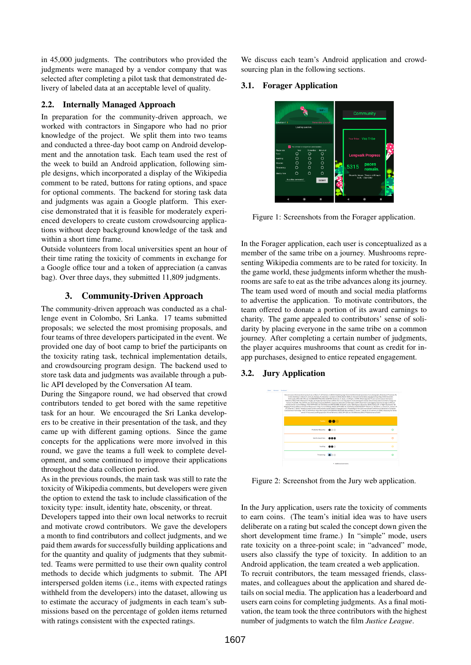in 45,000 judgments. The contributors who provided the judgments were managed by a vendor company that was selected after completing a pilot task that demonstrated delivery of labeled data at an acceptable level of quality.

#### 2.2. Internally Managed Approach

In preparation for the community-driven approach, we worked with contractors in Singapore who had no prior knowledge of the project. We split them into two teams and conducted a three-day boot camp on Android development and the annotation task. Each team used the rest of the week to build an Android application, following simple designs, which incorporated a display of the Wikipedia comment to be rated, buttons for rating options, and space for optional comments. The backend for storing task data and judgments was again a Google platform. This exercise demonstrated that it is feasible for moderately experienced developers to create custom crowdsourcing applications without deep background knowledge of the task and within a short time frame.

Outside volunteers from local universities spent an hour of their time rating the toxicity of comments in exchange for a Google office tour and a token of appreciation (a canvas bag). Over three days, they submitted 11,809 judgments.

# 3. Community-Driven Approach

The community-driven approach was conducted as a challenge event in Colombo, Sri Lanka. 17 teams submitted proposals; we selected the most promising proposals, and four teams of three developers participated in the event. We provided one day of boot camp to brief the participants on the toxicity rating task, technical implementation details, and crowdsourcing program design. The backend used to store task data and judgments was available through a public API developed by the Conversation AI team.

During the Singapore round, we had observed that crowd contributors tended to get bored with the same repetitive task for an hour. We encouraged the Sri Lanka developers to be creative in their presentation of the task, and they came up with different gaming options. Since the game concepts for the applications were more involved in this round, we gave the teams a full week to complete development, and some continued to improve their applications throughout the data collection period.

As in the previous rounds, the main task was still to rate the toxicity of Wikipedia comments, but developers were given the option to extend the task to include classification of the toxicity type: insult, identity hate, obscenity, or threat.

Developers tapped into their own local networks to recruit and motivate crowd contributors. We gave the developers a month to find contributors and collect judgments, and we paid them awards for successfully building applications and for the quantity and quality of judgments that they submitted. Teams were permitted to use their own quality control methods to decide which judgments to submit. The API interspersed golden items (i.e., items with expected ratings withheld from the developers) into the dataset, allowing us to estimate the accuracy of judgments in each team's submissions based on the percentage of golden items returned with ratings consistent with the expected ratings.

We discuss each team's Android application and crowdsourcing plan in the following sections.

# 3.1. Forager Application



Figure 1: Screenshots from the Forager application.

In the Forager application, each user is conceptualized as a member of the same tribe on a journey. Mushrooms representing Wikipedia comments are to be rated for toxicity. In the game world, these judgments inform whether the mushrooms are safe to eat as the tribe advances along its journey. The team used word of mouth and social media platforms to advertise the application. To motivate contributors, the team offered to donate a portion of its award earnings to charity. The game appealed to contributors' sense of solidarity by placing everyone in the same tribe on a common journey. After completing a certain number of judgments, the player acquires mushrooms that count as credit for inapp purchases, designed to entice repeated engagement.

# 3.2. Jury Application



Figure 2: Screenshot from the Jury web application.

In the Jury application, users rate the toxicity of comments to earn coins. (The team's initial idea was to have users deliberate on a rating but scaled the concept down given the short development time frame.) In "simple" mode, users rate toxicity on a three-point scale; in "advanced" mode, users also classify the type of toxicity. In addition to an Android application, the team created a web application. To recruit contributors, the team messaged friends, classmates, and colleagues about the application and shared details on social media. The application has a leaderboard and users earn coins for completing judgments. As a final motivation, the team took the three contributors with the highest number of judgments to watch the film *Justice League*.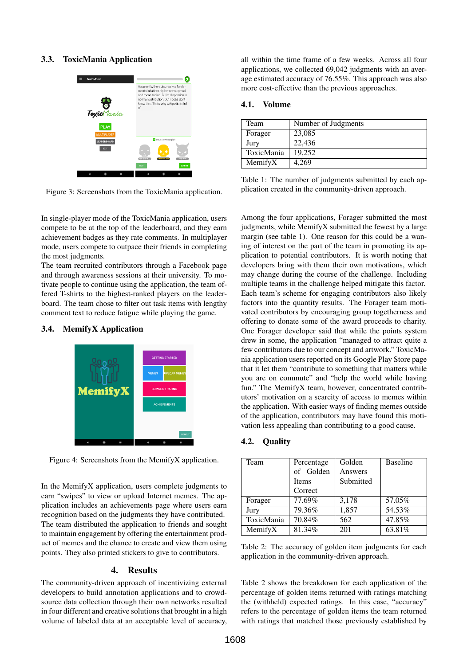# 3.3. ToxicMania Application



Figure 3: Screenshots from the ToxicMania application.

In single-player mode of the ToxicMania application, users compete to be at the top of the leaderboard, and they earn achievement badges as they rate comments. In multiplayer mode, users compete to outpace their friends in completing the most judgments.

The team recruited contributors through a Facebook page and through awareness sessions at their university. To motivate people to continue using the application, the team offered T-shirts to the highest-ranked players on the leaderboard. The team chose to filter out task items with lengthy comment text to reduce fatigue while playing the game.

# 3.4. MemifyX Application



Figure 4: Screenshots from the MemifyX application.

In the MemifyX application, users complete judgments to earn "swipes" to view or upload Internet memes. The application includes an achievements page where users earn recognition based on the judgments they have contributed. The team distributed the application to friends and sought to maintain engagement by offering the entertainment product of memes and the chance to create and view them using points. They also printed stickers to give to contributors.

# 4. Results

The community-driven approach of incentivizing external developers to build annotation applications and to crowdsource data collection through their own networks resulted in four different and creative solutions that brought in a high volume of labeled data at an acceptable level of accuracy,

all within the time frame of a few weeks. Across all four applications, we collected 69,042 judgments with an average estimated accuracy of 76.55%. This approach was also more cost-effective than the previous approaches.

### 4.1. Volume

| Team       | Number of Judgments |
|------------|---------------------|
| Forager    | 23,085              |
| Jury       | 22,436              |
| ToxicMania | 19.252              |
| MemifyX    | 4.269               |

Table 1: The number of judgments submitted by each application created in the community-driven approach.

Among the four applications, Forager submitted the most judgments, while MemifyX submitted the fewest by a large margin (see table 1). One reason for this could be a waning of interest on the part of the team in promoting its application to potential contributors. It is worth noting that developers bring with them their own motivations, which may change during the course of the challenge. Including multiple teams in the challenge helped mitigate this factor. Each team's scheme for engaging contributors also likely factors into the quantity results. The Forager team motivated contributors by encouraging group togetherness and offering to donate some of the award proceeds to charity. One Forager developer said that while the points system drew in some, the application "managed to attract quite a few contributors due to our concept and artwork." ToxicMania application users reported on its Google Play Store page that it let them "contribute to something that matters while you are on commute" and "help the world while having fun." The MemifyX team, however, concentrated contributors' motivation on a scarcity of access to memes within the application. With easier ways of finding memes outside of the application, contributors may have found this motivation less appealing than contributing to a good cause.

# 4.2. Quality

| Team       | Percentage   | Golden    | <b>Baseline</b> |
|------------|--------------|-----------|-----------------|
|            | of Golden    | Answers   |                 |
|            | <b>Items</b> | Submitted |                 |
|            | Correct      |           |                 |
| Forager    | 77.69%       | 3,178     | 57.05%          |
| Jury       | 79.36%       | 1,857     | 54.53%          |
| ToxicMania | 70.84%       | 562       | 47.85%          |
| MemifyX    | 81.34%       | 201       | 63.81%          |

Table 2: The accuracy of golden item judgments for each application in the community-driven approach.

Table 2 shows the breakdown for each application of the percentage of golden items returned with ratings matching the (withheld) expected ratings. In this case, "accuracy" refers to the percentage of golden items the team returned with ratings that matched those previously established by